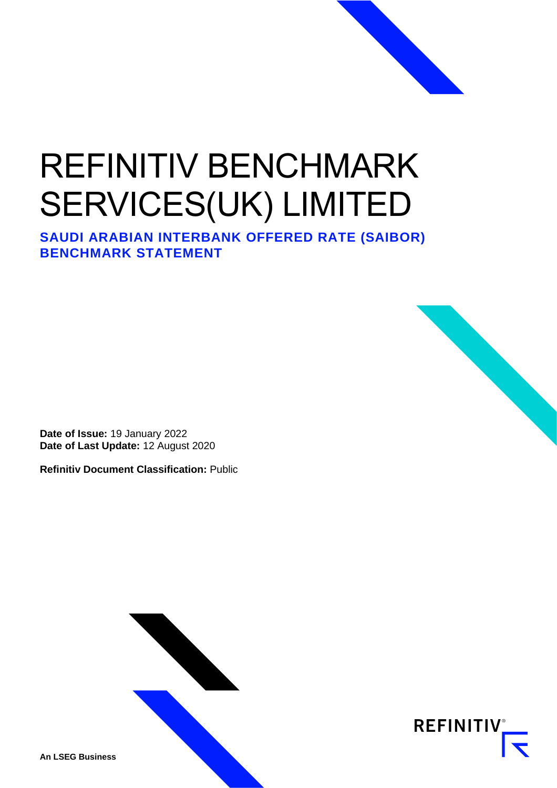# REFINITIV BENCHMARK SERVICES(UK) LIMITED

**SAUDI ARABIAN INTERBANK OFFERED RATE (SAIBOR) BENCHMARK STATEMENT** 

**Date of Issue:** 19 January 2022 **Date of Last Update:** 12 August 2020

**Refinitiv Document Classification:** Public





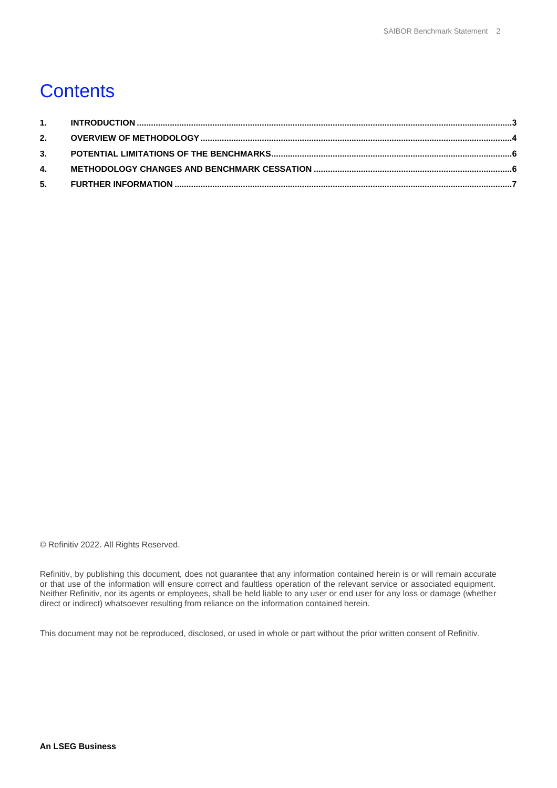# **Contents**

© Refinitiv 2022. All Rights Reserved.

Refinitiv, by publishing this document, does not guarantee that any information contained herein is or will remain accurate or that use of the information will ensure correct and faultless operation of the relevant service or associated equipment. Neither Refinitiv, nor its agents or employees, shall be held liable to any user or end user for any loss or damage (whether direct or indirect) whatsoever resulting from reliance on the information contained herein.

This document may not be reproduced, disclosed, or used in whole or part without the prior written consent of Refinitiv.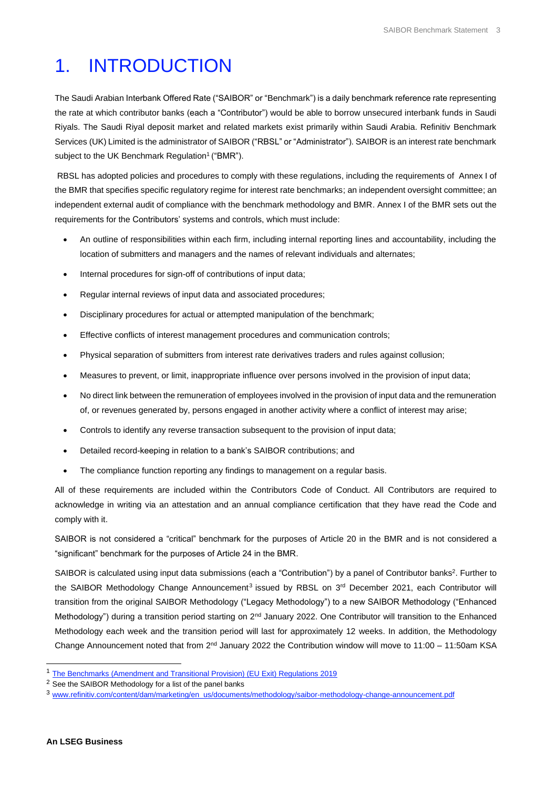# <span id="page-2-0"></span>1. INTRODUCTION

The Saudi Arabian Interbank Offered Rate ("SAIBOR" or "Benchmark") is a daily benchmark reference rate representing the rate at which contributor banks (each a "Contributor") would be able to borrow unsecured interbank funds in Saudi Riyals. The Saudi Riyal deposit market and related markets exist primarily within Saudi Arabia. Refinitiv Benchmark Services (UK) Limited is the administrator of SAIBOR ("RBSL" or "Administrator"). SAIBOR is an interest rate benchmark subject to the UK Benchmark Regulation<sup>1</sup> ("BMR").

RBSL has adopted policies and procedures to comply with these regulations, including the requirements of Annex I of the BMR that specifies specific regulatory regime for interest rate benchmarks; an independent oversight committee; an independent external audit of compliance with the benchmark methodology and BMR. Annex I of the BMR sets out the requirements for the Contributors' systems and controls, which must include:

- An outline of responsibilities within each firm, including internal reporting lines and accountability, including the location of submitters and managers and the names of relevant individuals and alternates;
- Internal procedures for sign-off of contributions of input data;
- Regular internal reviews of input data and associated procedures;
- Disciplinary procedures for actual or attempted manipulation of the benchmark;
- Effective conflicts of interest management procedures and communication controls;
- Physical separation of submitters from interest rate derivatives traders and rules against collusion;
- Measures to prevent, or limit, inappropriate influence over persons involved in the provision of input data;
- No direct link between the remuneration of employees involved in the provision of input data and the remuneration of, or revenues generated by, persons engaged in another activity where a conflict of interest may arise;
- Controls to identify any reverse transaction subsequent to the provision of input data;
- Detailed record-keeping in relation to a bank's SAIBOR contributions; and
- The compliance function reporting any findings to management on a regular basis.

All of these requirements are included within the Contributors Code of Conduct. All Contributors are required to acknowledge in writing via an attestation and an annual compliance certification that they have read the Code and comply with it.

SAIBOR is not considered a "critical" benchmark for the purposes of Article 20 in the BMR and is not considered a "significant" benchmark for the purposes of Article 24 in the BMR.

SAIBOR is calculated using input data submissions (each a "Contribution") by a panel of Contributor banks<sup>2</sup>. Further to the SAIBOR Methodology Change Announcement<sup>3</sup> issued by RBSL on 3<sup>rd</sup> December 2021, each Contributor will transition from the original SAIBOR Methodology ("Legacy Methodology") to a new SAIBOR Methodology ("Enhanced Methodology") during a transition period starting on 2<sup>nd</sup> January 2022. One Contributor will transition to the Enhanced Methodology each week and the transition period will last for approximately 12 weeks. In addition, the Methodology Change Announcement noted that from  $2^{nd}$  January 2022 the Contribution window will move to 11:00 – 11:50am KSA

<sup>&</sup>lt;sup>1</sup> [The Benchmarks \(Amendment and Transitional Provision\) \(EU Exit\) Regulations 2019](https://www.legislation.gov.uk/uksi/2019/657/made)

<sup>2</sup> See the SAIBOR Methodology for a list of the panel banks

<sup>3</sup> [www.refinitiv.com/content/dam/marketing/en\\_us/documents/methodology/saibor-methodology-change-announcement.pdf](http://www.refinitiv.com/content/dam/marketing/en_us/documents/methodology/saibor-methodology-change-announcement.pdf)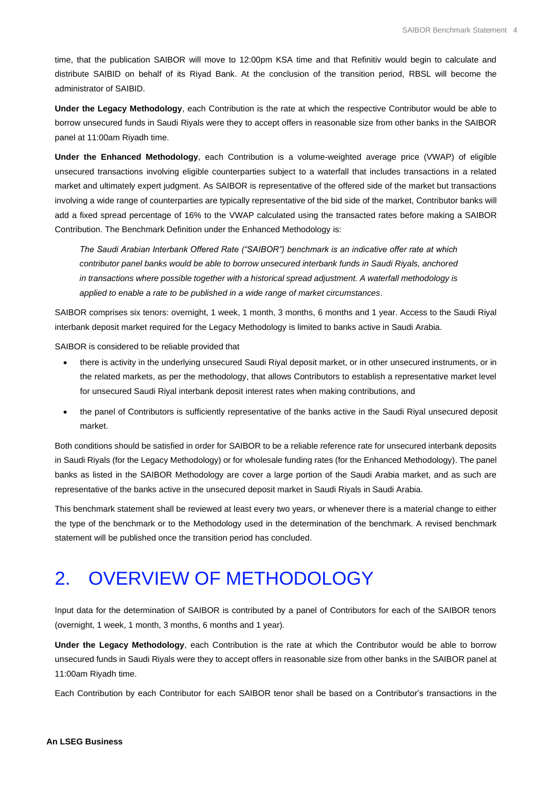time, that the publication SAIBOR will move to 12:00pm KSA time and that Refinitiv would begin to calculate and distribute SAIBID on behalf of its Riyad Bank. At the conclusion of the transition period, RBSL will become the administrator of SAIBID.

**Under the Legacy Methodology**, each Contribution is the rate at which the respective Contributor would be able to borrow unsecured funds in Saudi Riyals were they to accept offers in reasonable size from other banks in the SAIBOR panel at 11:00am Riyadh time.

**Under the Enhanced Methodology**, each Contribution is a volume-weighted average price (VWAP) of eligible unsecured transactions involving eligible counterparties subject to a waterfall that includes transactions in a related market and ultimately expert judgment. As SAIBOR is representative of the offered side of the market but transactions involving a wide range of counterparties are typically representative of the bid side of the market, Contributor banks will add a fixed spread percentage of 16% to the VWAP calculated using the transacted rates before making a SAIBOR Contribution. The Benchmark Definition under the Enhanced Methodology is:

*The Saudi Arabian Interbank Offered Rate ("SAIBOR") benchmark is an indicative offer rate at which contributor panel banks would be able to borrow unsecured interbank funds in Saudi Riyals, anchored in transactions where possible together with a historical spread adjustment. A waterfall methodology is applied to enable a rate to be published in a wide range of market circumstances*.

SAIBOR comprises six tenors: overnight, 1 week, 1 month, 3 months, 6 months and 1 year. Access to the Saudi Riyal interbank deposit market required for the Legacy Methodology is limited to banks active in Saudi Arabia.

SAIBOR is considered to be reliable provided that

- there is activity in the underlying unsecured Saudi Riyal deposit market, or in other unsecured instruments, or in the related markets, as per the methodology, that allows Contributors to establish a representative market level for unsecured Saudi Riyal interbank deposit interest rates when making contributions, and
- the panel of Contributors is sufficiently representative of the banks active in the Saudi Riyal unsecured deposit market.

Both conditions should be satisfied in order for SAIBOR to be a reliable reference rate for unsecured interbank deposits in Saudi Riyals (for the Legacy Methodology) or for wholesale funding rates (for the Enhanced Methodology). The panel banks as listed in the SAIBOR Methodology are cover a large portion of the Saudi Arabia market, and as such are representative of the banks active in the unsecured deposit market in Saudi Riyals in Saudi Arabia.

This benchmark statement shall be reviewed at least every two years, or whenever there is a material change to either the type of the benchmark or to the Methodology used in the determination of the benchmark. A revised benchmark statement will be published once the transition period has concluded.

## <span id="page-3-0"></span>2. OVERVIEW OF METHODOLOGY

Input data for the determination of SAIBOR is contributed by a panel of Contributors for each of the SAIBOR tenors (overnight, 1 week, 1 month, 3 months, 6 months and 1 year).

**Under the Legacy Methodology**, each Contribution is the rate at which the Contributor would be able to borrow unsecured funds in Saudi Riyals were they to accept offers in reasonable size from other banks in the SAIBOR panel at 11:00am Riyadh time.

Each Contribution by each Contributor for each SAIBOR tenor shall be based on a Contributor's transactions in the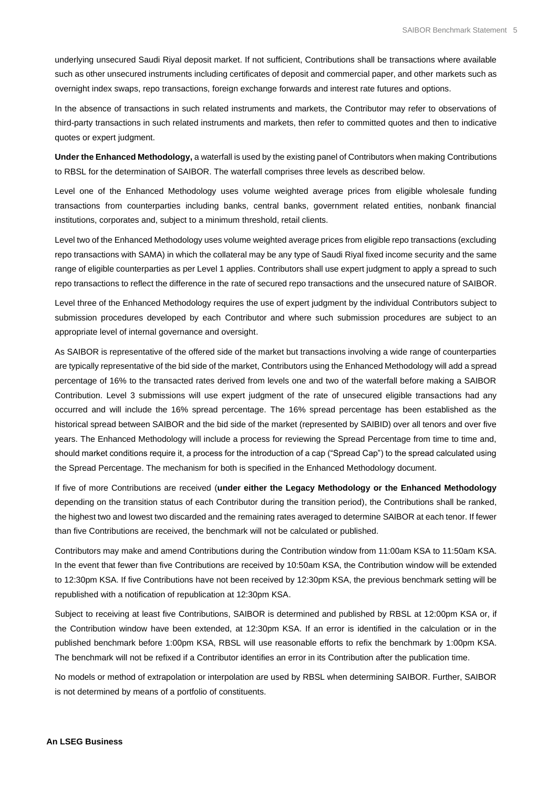underlying unsecured Saudi Riyal deposit market. If not sufficient, Contributions shall be transactions where available such as other unsecured instruments including certificates of deposit and commercial paper, and other markets such as overnight index swaps, repo transactions, foreign exchange forwards and interest rate futures and options.

In the absence of transactions in such related instruments and markets, the Contributor may refer to observations of third-party transactions in such related instruments and markets, then refer to committed quotes and then to indicative quotes or expert judgment.

**Under the Enhanced Methodology,** a waterfall is used by the existing panel of Contributors when making Contributions to RBSL for the determination of SAIBOR. The waterfall comprises three levels as described below.

Level one of the Enhanced Methodology uses volume weighted average prices from eligible wholesale funding transactions from counterparties including banks, central banks, government related entities, nonbank financial institutions, corporates and, subject to a minimum threshold, retail clients.

Level two of the Enhanced Methodology uses volume weighted average prices from eligible repo transactions (excluding repo transactions with SAMA) in which the collateral may be any type of Saudi Riyal fixed income security and the same range of eligible counterparties as per Level 1 applies. Contributors shall use expert judgment to apply a spread to such repo transactions to reflect the difference in the rate of secured repo transactions and the unsecured nature of SAIBOR.

Level three of the Enhanced Methodology requires the use of expert judgment by the individual Contributors subject to submission procedures developed by each Contributor and where such submission procedures are subject to an appropriate level of internal governance and oversight.

As SAIBOR is representative of the offered side of the market but transactions involving a wide range of counterparties are typically representative of the bid side of the market, Contributors using the Enhanced Methodology will add a spread percentage of 16% to the transacted rates derived from levels one and two of the waterfall before making a SAIBOR Contribution. Level 3 submissions will use expert judgment of the rate of unsecured eligible transactions had any occurred and will include the 16% spread percentage. The 16% spread percentage has been established as the historical spread between SAIBOR and the bid side of the market (represented by SAIBID) over all tenors and over five years. The Enhanced Methodology will include a process for reviewing the Spread Percentage from time to time and, should market conditions require it, a process for the introduction of a cap ("Spread Cap") to the spread calculated using the Spread Percentage. The mechanism for both is specified in the Enhanced Methodology document.

If five of more Contributions are received (**under either the Legacy Methodology or the Enhanced Methodology** depending on the transition status of each Contributor during the transition period), the Contributions shall be ranked, the highest two and lowest two discarded and the remaining rates averaged to determine SAIBOR at each tenor. If fewer than five Contributions are received, the benchmark will not be calculated or published.

Contributors may make and amend Contributions during the Contribution window from 11:00am KSA to 11:50am KSA. In the event that fewer than five Contributions are received by 10:50am KSA, the Contribution window will be extended to 12:30pm KSA. If five Contributions have not been received by 12:30pm KSA, the previous benchmark setting will be republished with a notification of republication at 12:30pm KSA.

Subject to receiving at least five Contributions, SAIBOR is determined and published by RBSL at 12:00pm KSA or, if the Contribution window have been extended, at 12:30pm KSA. If an error is identified in the calculation or in the published benchmark before 1:00pm KSA, RBSL will use reasonable efforts to refix the benchmark by 1:00pm KSA. The benchmark will not be refixed if a Contributor identifies an error in its Contribution after the publication time.

No models or method of extrapolation or interpolation are used by RBSL when determining SAIBOR. Further, SAIBOR is not determined by means of a portfolio of constituents.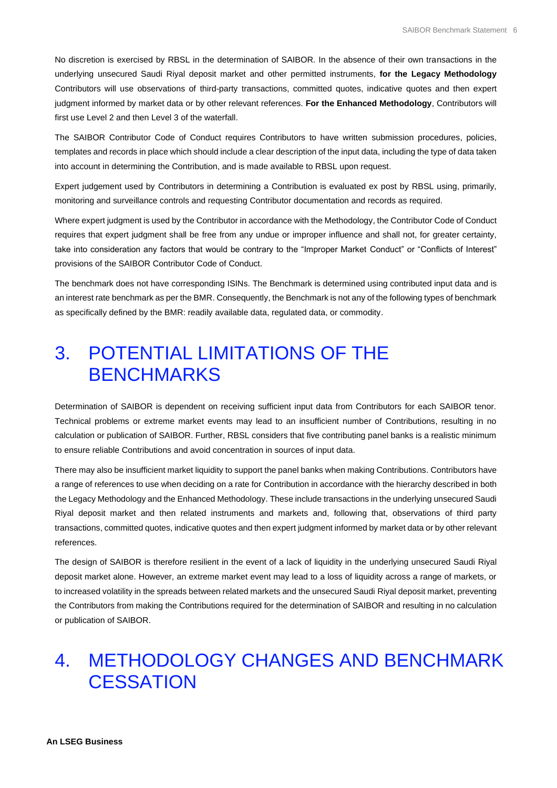No discretion is exercised by RBSL in the determination of SAIBOR. In the absence of their own transactions in the underlying unsecured Saudi Riyal deposit market and other permitted instruments, **for the Legacy Methodology** Contributors will use observations of third-party transactions, committed quotes, indicative quotes and then expert judgment informed by market data or by other relevant references. **For the Enhanced Methodology**, Contributors will first use Level 2 and then Level 3 of the waterfall.

The SAIBOR Contributor Code of Conduct requires Contributors to have written submission procedures, policies, templates and records in place which should include a clear description of the input data, including the type of data taken into account in determining the Contribution, and is made available to RBSL upon request.

Expert judgement used by Contributors in determining a Contribution is evaluated ex post by RBSL using, primarily, monitoring and surveillance controls and requesting Contributor documentation and records as required.

Where expert judgment is used by the Contributor in accordance with the Methodology, the Contributor Code of Conduct requires that expert judgment shall be free from any undue or improper influence and shall not, for greater certainty, take into consideration any factors that would be contrary to the "Improper Market Conduct" or "Conflicts of Interest" provisions of the SAIBOR Contributor Code of Conduct.

The benchmark does not have corresponding ISINs. The Benchmark is determined using contributed input data and is an interest rate benchmark as per the BMR. Consequently, the Benchmark is not any of the following types of benchmark as specifically defined by the BMR: readily available data, regulated data, or commodity.

#### <span id="page-5-0"></span>3. POTENTIAL LIMITATIONS OF THE BENCHMARKS

Determination of SAIBOR is dependent on receiving sufficient input data from Contributors for each SAIBOR tenor. Technical problems or extreme market events may lead to an insufficient number of Contributions, resulting in no calculation or publication of SAIBOR. Further, RBSL considers that five contributing panel banks is a realistic minimum to ensure reliable Contributions and avoid concentration in sources of input data.

There may also be insufficient market liquidity to support the panel banks when making Contributions. Contributors have a range of references to use when deciding on a rate for Contribution in accordance with the hierarchy described in both the Legacy Methodology and the Enhanced Methodology. These include transactions in the underlying unsecured Saudi Riyal deposit market and then related instruments and markets and, following that, observations of third party transactions, committed quotes, indicative quotes and then expert judgment informed by market data or by other relevant references.

The design of SAIBOR is therefore resilient in the event of a lack of liquidity in the underlying unsecured Saudi Riyal deposit market alone. However, an extreme market event may lead to a loss of liquidity across a range of markets, or to increased volatility in the spreads between related markets and the unsecured Saudi Riyal deposit market, preventing the Contributors from making the Contributions required for the determination of SAIBOR and resulting in no calculation or publication of SAIBOR.

#### <span id="page-5-1"></span>4. METHODOLOGY CHANGES AND BENCHMARK **CESSATION**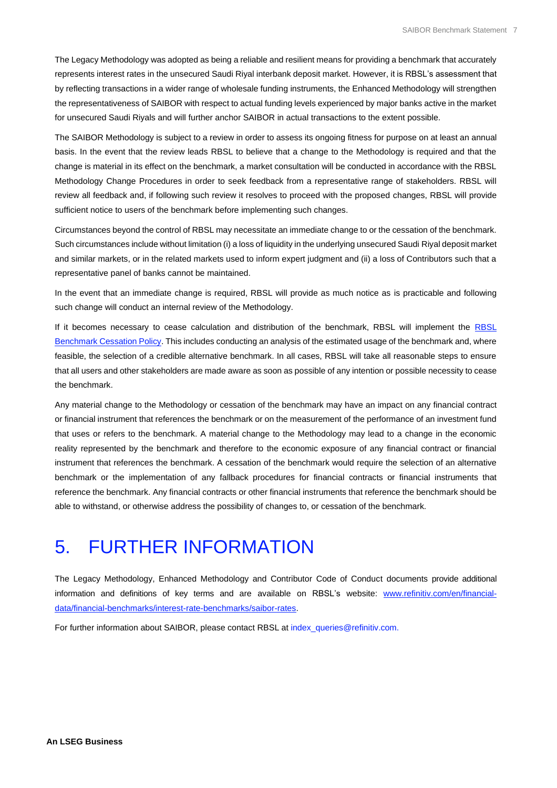The Legacy Methodology was adopted as being a reliable and resilient means for providing a benchmark that accurately represents interest rates in the unsecured Saudi Riyal interbank deposit market. However, it is RBSL's assessment that by reflecting transactions in a wider range of wholesale funding instruments, the Enhanced Methodology will strengthen the representativeness of SAIBOR with respect to actual funding levels experienced by major banks active in the market for unsecured Saudi Riyals and will further anchor SAIBOR in actual transactions to the extent possible.

The SAIBOR Methodology is subject to a review in order to assess its ongoing fitness for purpose on at least an annual basis. In the event that the review leads RBSL to believe that a change to the Methodology is required and that the change is material in its effect on the benchmark, a market consultation will be conducted in accordance with the RBSL Methodology Change Procedures in order to seek feedback from a representative range of stakeholders. RBSL will review all feedback and, if following such review it resolves to proceed with the proposed changes, RBSL will provide sufficient notice to users of the benchmark before implementing such changes.

Circumstances beyond the control of RBSL may necessitate an immediate change to or the cessation of the benchmark. Such circumstances include without limitation (i) a loss of liquidity in the underlying unsecured Saudi Riyal deposit market and similar markets, or in the related markets used to inform expert judgment and (ii) a loss of Contributors such that a representative panel of banks cannot be maintained.

In the event that an immediate change is required, RBSL will provide as much notice as is practicable and following such change will conduct an internal review of the Methodology.

If it becomes necessary to cease calculation and distribution of the benchmark, [RBSL](https://www.refinitiv.com/content/dam/marketing/en_us/documents/methodology/rbsl-benchmark-methodology-change-cessation-policy.pdf) will implement the RBSL [Benchmark Cessation Policy.](https://www.refinitiv.com/content/dam/marketing/en_us/documents/methodology/rbsl-benchmark-methodology-change-cessation-policy.pdf) This includes conducting an analysis of the estimated usage of the benchmark and, where feasible, the selection of a credible alternative benchmark. In all cases, RBSL will take all reasonable steps to ensure that all users and other stakeholders are made aware as soon as possible of any intention or possible necessity to cease the benchmark.

Any material change to the Methodology or cessation of the benchmark may have an impact on any financial contract or financial instrument that references the benchmark or on the measurement of the performance of an investment fund that uses or refers to the benchmark. A material change to the Methodology may lead to a change in the economic reality represented by the benchmark and therefore to the economic exposure of any financial contract or financial instrument that references the benchmark. A cessation of the benchmark would require the selection of an alternative benchmark or the implementation of any fallback procedures for financial contracts or financial instruments that reference the benchmark. Any financial contracts or other financial instruments that reference the benchmark should be able to withstand, or otherwise address the possibility of changes to, or cessation of the benchmark.

## <span id="page-6-0"></span>5. FURTHER INFORMATION

The Legacy Methodology, Enhanced Methodology and Contributor Code of Conduct documents provide additional information and definitions of key terms and are available on RBSL's [website:](https://www.refinitiv.com/en/financial-data/financial-benchmarks/interest-rate-benchmarks/saibor-rates) [www.refinitiv.com/en/financial](http://www.refinitiv.com/en/financial-data/financial-benchmarks/interest-rate-benchmarks/saibor-rates)[data/financial-benchmarks/interest-rate-benchmarks/saibor-rates.](http://www.refinitiv.com/en/financial-data/financial-benchmarks/interest-rate-benchmarks/saibor-rates)

For further information about SAIBOR, please contact RBSL a[t index\\_queries@refinitiv.com.](mailto:index_queries@refinitiv.com.)